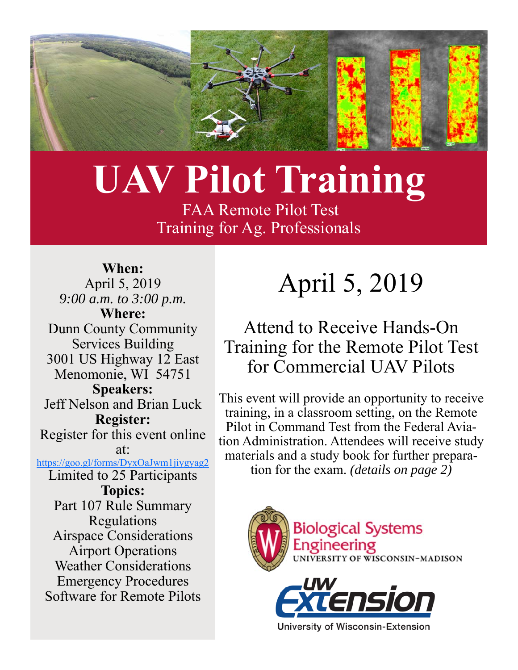

# **UAV Pilot Training**

 FAA Remote Pilot Test Training for Ag. Professionals

**When:** April 5, 2019 *9:00 a.m. to 3:00 p.m.*  **Where:** Dunn County Community Services Building 3001 US Highway 12 East Menomonie, WI 54751 **Speakers:**  Jeff Nelson and Brian Luck **Register:**  Register for this event online at: https://goo.gl/forms/DyxOaJwm1jiygyag2 Limited to 25 Participants **Topics:**  Part 107 Rule Summary Regulations Airspace Considerations Airport Operations Weather Considerations Emergency Procedures Software for Remote Pilots

# April 5, 2019

## Attend to Receive Hands-On Training for the Remote Pilot Test for Commercial UAV Pilots

This event will provide an opportunity to receive training, in a classroom setting, on the Remote Pilot in Command Test from the Federal Aviation Administration. Attendees will receive study materials and a study book for further preparation for the exam. *(details on page 2)* 



**University of Wisconsin-Extension**